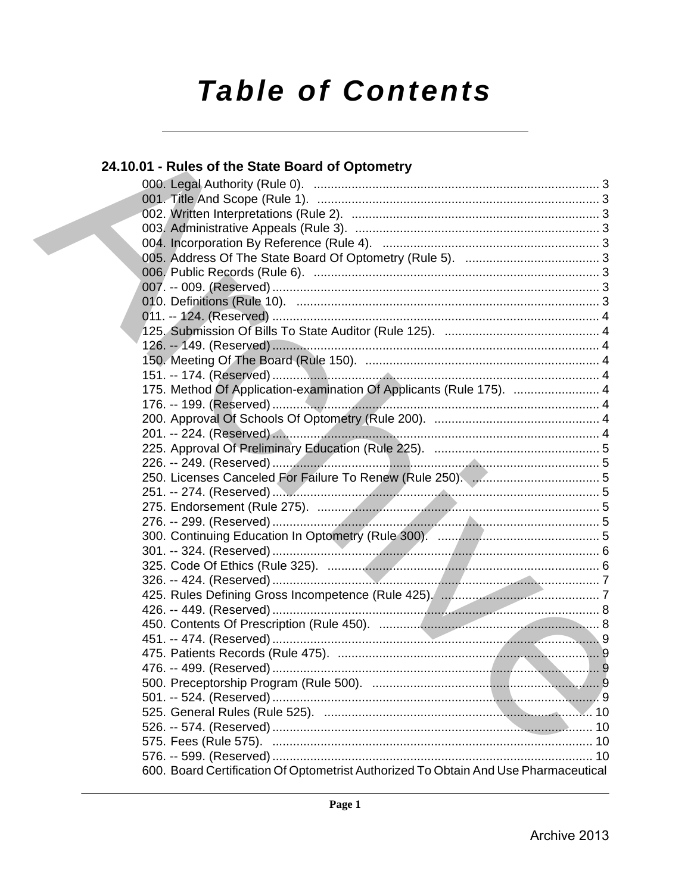# **Table of Contents**

# 24.10.01 - Rules of the State Board of Optometry 175. Method Of Application-examination Of Applicants (Rule 175). ................................ 4 600. Board Certification Of Optometrist Authorized To Obtain And Use Pharmaceutical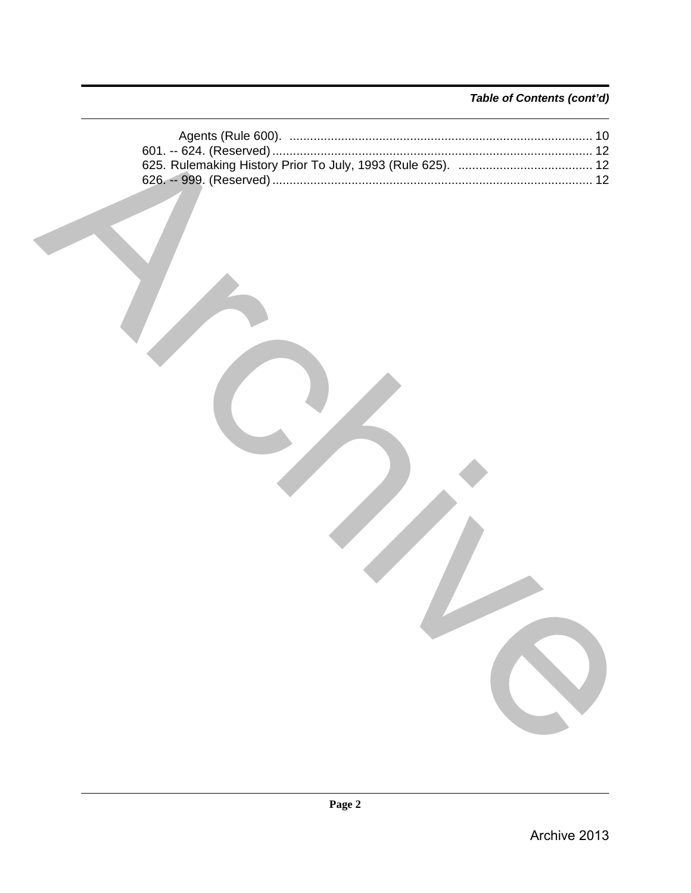# Table of Contents (cont'd)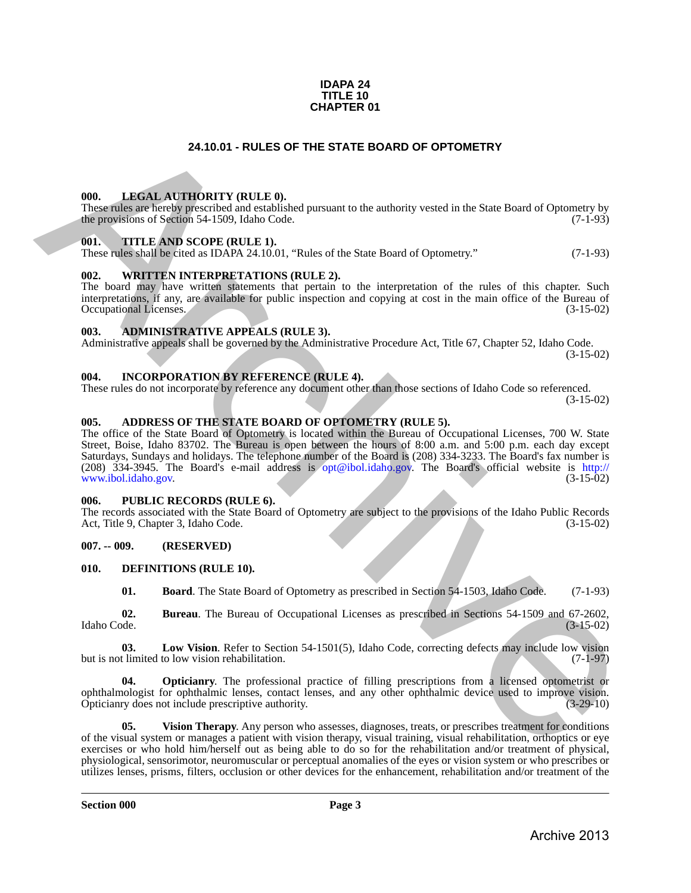### **IDAPA 24 TITLE 10 CHAPTER 01**

### **24.10.01 - RULES OF THE STATE BOARD OF OPTOMETRY**

### <span id="page-2-1"></span>**000. LEGAL AUTHORITY (RULE 0).**

These rules are hereby prescribed and established pursuant to the authority vested in the State Board of Optometry by the provisions of Section 54-1509, Idaho Code. (7-1-93)

### <span id="page-2-2"></span>**001. TITLE AND SCOPE (RULE 1).**

These rules shall be cited as IDAPA 24.10.01, "Rules of the State Board of Optometry." (7-1-93)

### <span id="page-2-3"></span>**002. WRITTEN INTERPRETATIONS (RULE 2).**

The board may have written statements that pertain to the interpretation of the rules of this chapter. Such interpretations, if any, are available for public inspection and copying at cost in the main office of the Bureau of Occupational Licenses. (3-15-02) Occupational Licenses.

### <span id="page-2-4"></span>**003. ADMINISTRATIVE APPEALS (RULE 3).**

Administrative appeals shall be governed by the Administrative Procedure Act, Title 67, Chapter 52, Idaho Code. (3-15-02)

<span id="page-2-5"></span>**004. INCORPORATION BY REFERENCE (RULE 4).**

These rules do not incorporate by reference any document other than those sections of Idaho Code so referenced. (3-15-02)

# <span id="page-2-6"></span>**005. ADDRESS OF THE STATE BOARD OF OPTOMETRY (RULE 5).**

<span id="page-2-0"></span>The office of the State Board of Optometry is located within the Bureau of Occupational Licenses, 700 W. State Street, Boise, Idaho 83702. The Bureau is open between the hours of 8:00 a.m. and 5:00 p.m. each day except Saturdays, Sundays and holidays. The telephone number of the Board is (208) 334-3233. The Board's fax number is (208) 334-3945. The Board's e-mail address is opt@ibol.idaho.gov. The Board's official website is http:// www.ibol.idaho.gov. 24.10.01 - RUES OF THE STATE BOARD OF OPTOMETRY<br>
THE INSERCTION TYPICAL AND THE TREE STATE BOARD OF OPTOMETRY<br>
THE INSERCTION TRIPLE AND CONSIDERATION (21.45)<br>
The multisment of Second 34.1594, halo Const<br>
The Properties

### <span id="page-2-7"></span>**006. PUBLIC RECORDS (RULE 6).**

The records associated with the State Board of Optometry are subject to the provisions of the Idaho Public Records<br>Act, Title 9, Chapter 3, Idaho Code. (3-15-02) Act, Title 9, Chapter 3, Idaho Code.

### <span id="page-2-8"></span>**007. -- 009. (RESERVED)**

### <span id="page-2-9"></span>**010. DEFINITIONS (RULE 10).**

<span id="page-2-13"></span><span id="page-2-12"></span><span id="page-2-11"></span><span id="page-2-10"></span>**01. Board**. The State Board of Optometry as prescribed in Section 54-1503, Idaho Code. (7-1-93)

**02.** Bureau. The Bureau of Occupational Licenses as prescribed in Sections 54-1509 and 67-2602, Idaho Code. (3-15-02) Idaho Code. (3-15-02)

**03.** Low Vision. Refer to Section 54-1501(5), Idaho Code, correcting defects may include low vision thinited to low vision rehabilitation. (7-1-97) but is not limited to low vision rehabilitation.

<span id="page-2-14"></span>**04. Opticianry**. The professional practice of filling prescriptions from a licensed optometrist or ophthalmologist for ophthalmic lenses, contact lenses, and any other ophthalmic device used to improve vision. Opticianry does not include prescriptive authority.

<span id="page-2-15"></span>**05. Vision Therapy**. Any person who assesses, diagnoses, treats, or prescribes treatment for conditions of the visual system or manages a patient with vision therapy, visual training, visual rehabilitation, orthoptics or eye exercises or who hold him/herself out as being able to do so for the rehabilitation and/or treatment of physical, physiological, sensorimotor, neuromuscular or perceptual anomalies of the eyes or vision system or who prescribes or utilizes lenses, prisms, filters, occlusion or other devices for the enhancement, rehabilitation and/or treatment of the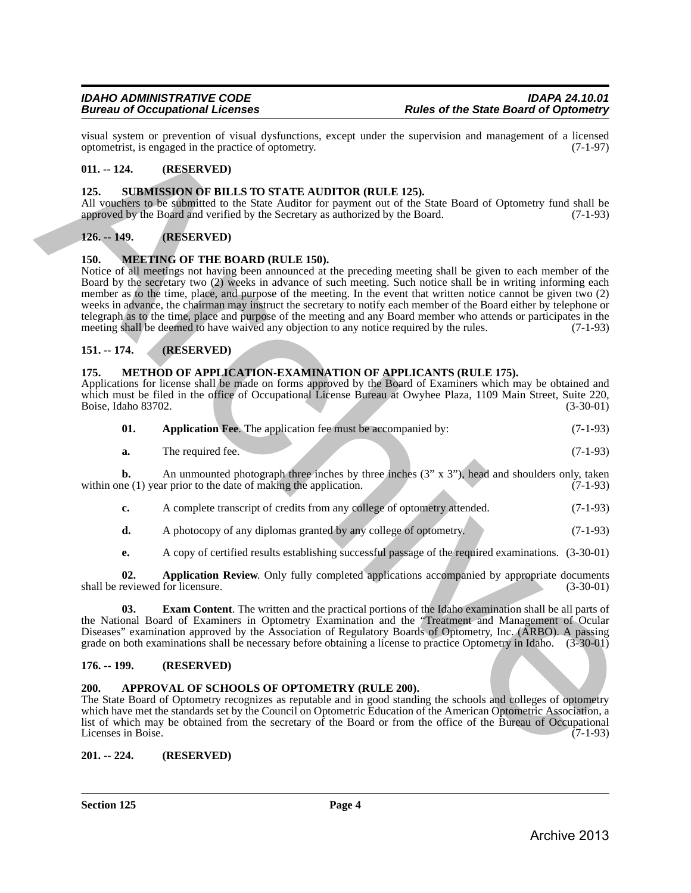visual system or prevention of visual dysfunctions, except under the supervision and management of a licensed optometrist, is engaged in the practice of optometry. (7-1-97) optometrist, is engaged in the practice of optometry.

# <span id="page-3-0"></span>**011. -- 124. (RESERVED)**

### <span id="page-3-15"></span><span id="page-3-1"></span>**125. SUBMISSION OF BILLS TO STATE AUDITOR (RULE 125).**

All vouchers to be submitted to the State Auditor for payment out of the State Board of Optometry fund shall be approved by the Board and verified by the Secretary as authorized by the Board. (7-1-93)

# <span id="page-3-2"></span>**126. -- 149. (RESERVED)**

### <span id="page-3-10"></span><span id="page-3-3"></span>**150. MEETING OF THE BOARD (RULE 150).**

Notice of all meetings not having been announced at the preceding meeting shall be given to each member of the Board by the secretary two (2) weeks in advance of such meeting. Such notice shall be in writing informing each member as to the time, place, and purpose of the meeting. In the event that written notice cannot be given two (2) weeks in advance, the chairman may instruct the secretary to notify each member of the Board either by telephone or telegraph as to the time, place and purpose of the meeting and any Board member who attends or participates in the meeting shall be deemed to have waived any objection to any notice required by the rules. (7-1-93) meeting shall be deemed to have waived any objection to any notice required by the rules. visual system presentent of visual hydroxities, except under the supervision and management of  $\alpha$ -1.97)<br>
0.1. - 124. **RESERVED DE BULLS TO STATE ALDITOR (RULE 125).**<br>
13.5. SUIMMESSION DP BULLS TO STATE ALDITOR (RULE

# <span id="page-3-4"></span>**151. -- 174. (RESERVED)**

### <span id="page-3-11"></span><span id="page-3-5"></span>**175. METHOD OF APPLICATION-EXAMINATION OF APPLICANTS (RULE 175).**

Applications for license shall be made on forms approved by the Board of Examiners which may be obtained and which must be filed in the office of Occupational License Bureau at Owyhee Plaza, 1109 Main Street, Suite 220, Boise, Idaho 83702. (3-30-01)

<span id="page-3-12"></span>

| 01. | <b>Application Fee.</b> The application fee must be accompanied by: |  | $(7-1-93)$ |
|-----|---------------------------------------------------------------------|--|------------|
|-----|---------------------------------------------------------------------|--|------------|

| а. | m1<br>The required fee. |  |  |  |  |  | $(7-1-93)$ |
|----|-------------------------|--|--|--|--|--|------------|
|----|-------------------------|--|--|--|--|--|------------|

**b.** An unmounted photograph three inches by three inches  $(3'' \times 3'')$ , head and shoulders only, taken the (1) year prior to the date of making the application.  $(7-1-93)$ within one  $(1)$  year prior to the date of making the application.

- **c.** A complete transcript of credits from any college of optometry attended.  $(7-1-93)$
- **d.** A photocopy of any diplomas granted by any college of optometry. (7-1-93)

<span id="page-3-14"></span><span id="page-3-13"></span>**e.** A copy of certified results establishing successful passage of the required examinations. (3-30-01)

**02. Application Review**. Only fully completed applications accompanied by appropriate documents eviewed for licensure. (3-30-01) shall be reviewed for licensure.

**03. Exam Content**. The written and the practical portions of the Idaho examination shall be all parts of the National Board of Examiners in Optometry Examination and the "Treatment and Management of Ocular Diseases" examination approved by the Association of Regulatory Boards of Optometry, Inc. (ARBO). A passing grade on both examinations shall be necessary before obtaining a license to practice Optometry in Idaho. (3-30-01)

### <span id="page-3-6"></span>**176. -- 199. (RESERVED)**

### <span id="page-3-9"></span><span id="page-3-7"></span>**200. APPROVAL OF SCHOOLS OF OPTOMETRY (RULE 200).**

The State Board of Optometry recognizes as reputable and in good standing the schools and colleges of optometry which have met the standards set by the Council on Optometric Education of the American Optometric Association, a list of which may be obtained from the secretary of the Board or from the office of the Bureau of Occupational<br>Licenses in Boise. (7-1-93) Licenses in Boise.

### <span id="page-3-8"></span>**201. -- 224. (RESERVED)**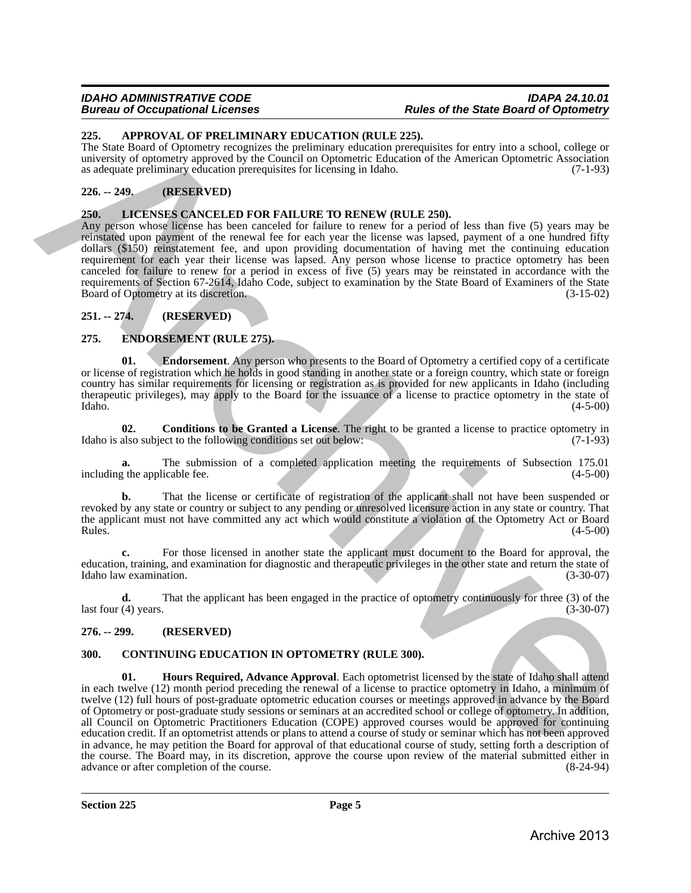### *IDAHO ADMINISTRATIVE CODE IDAPA 24.10.01 Bureau of Occupational Licenses Rules of the State Board of Optometry*

### <span id="page-4-7"></span><span id="page-4-0"></span>**225. APPROVAL OF PRELIMINARY EDUCATION (RULE 225).**

The State Board of Optometry recognizes the preliminary education prerequisites for entry into a school, college or university of optometry approved by the Council on Optometric Education of the American Optometric Association as adequate preliminary education prerequisites for licensing in Idaho. (7-1-93)

# <span id="page-4-1"></span>**226. -- 249. (RESERVED)**

# <span id="page-4-13"></span><span id="page-4-2"></span>**250. LICENSES CANCELED FOR FAILURE TO RENEW (RULE 250).**

Any person whose license has been canceled for failure to renew for a period of less than five (5) years may be reinstated upon payment of the renewal fee for each year the license was lapsed, payment of a one hundred fifty dollars (\$150) reinstatement fee, and upon providing documentation of having met the continuing education requirement for each year their license was lapsed. Any person whose license to practice optometry has been canceled for failure to renew for a period in excess of five (5) years may be reinstated in accordance with the requirements of Section 67-2614, Idaho Code, subject to examination by the State Board of Examiners of the State Board of Optometry at its discretion. (3-15-02)

# <span id="page-4-3"></span>**251. -- 274. (RESERVED)**

# <span id="page-4-10"></span><span id="page-4-4"></span>**275. ENDORSEMENT (RULE 275).**

<span id="page-4-12"></span>**01.** Endorsement. Any person who presents to the Board of Optometry a certified copy of a certificate or license of registration which he holds in good standing in another state or a foreign country, which state or foreign country has similar requirements for licensing or registration as is provided for new applicants in Idaho (including therapeutic privileges), may apply to the Board for the issuance of a license to practice optometry in the state of  $\lambda$ Idaho.  $(4-5-00)$ 

<span id="page-4-11"></span>**02. Conditions to be Granted a License**. The right to be granted a license to practice optometry in Idaho is also subject to the following conditions set out below: (7-1-93)

The submission of a completed application meeting the requirements of Subsection 175.01 icable fee. (4-5-00) including the applicable fee.

That the license or certificate of registration of the applicant shall not have been suspended or revoked by any state or country or subject to any pending or unresolved licensure action in any state or country. That the applicant must not have committed any act which would constitute a violation of the Optometry Act or Board<br>Rules. (4-5-00)  $\mu$  Rules.  $(4-5-00)$ 

**c.** For those licensed in another state the applicant must document to the Board for approval, the education, training, and examination for diagnostic and therapeutic privileges in the other state and return the state of Idaho law examination. (3-30-07) Idaho law examination.

**d.** That the applicant has been engaged in the practice of optometry continuously for three (3) of the  $\text{last four (4) years.}$  (3-30-07)

# <span id="page-4-5"></span>**276. -- 299. (RESERVED)**

# <span id="page-4-9"></span><span id="page-4-8"></span><span id="page-4-6"></span>**300. CONTINUING EDUCATION IN OPTOMETRY (RULE 300).**

**01. Hours Required, Advance Approval**. Each optometrist licensed by the state of Idaho shall attend in each twelve (12) month period preceding the renewal of a license to practice optometry in Idaho, a minimum of twelve (12) full hours of post-graduate optometric education courses or meetings approved in advance by the Board of Optometry or post-graduate study sessions or seminars at an accredited school or college of optometry. In addition, all Council on Optometric Practitioners Education (COPE) approved courses would be approved for continuing education credit. If an optometrist attends or plans to attend a course of study or seminar which has not been approved in advance, he may petition the Board for approval of that educational course of study, setting forth a description of the course. The Board may, in its discretion, approve the course upon review of the material submitted either in advance or after completion of the course. (8-24-94) advance or after completion of the course. 25. APPHON AT OP PRIME ANNA ART COLUMN TRICATION<br>
The State Instant of Optionery recognize the preliminary observations presentation for earth particles and<br>
an original particles of the column of the column of the column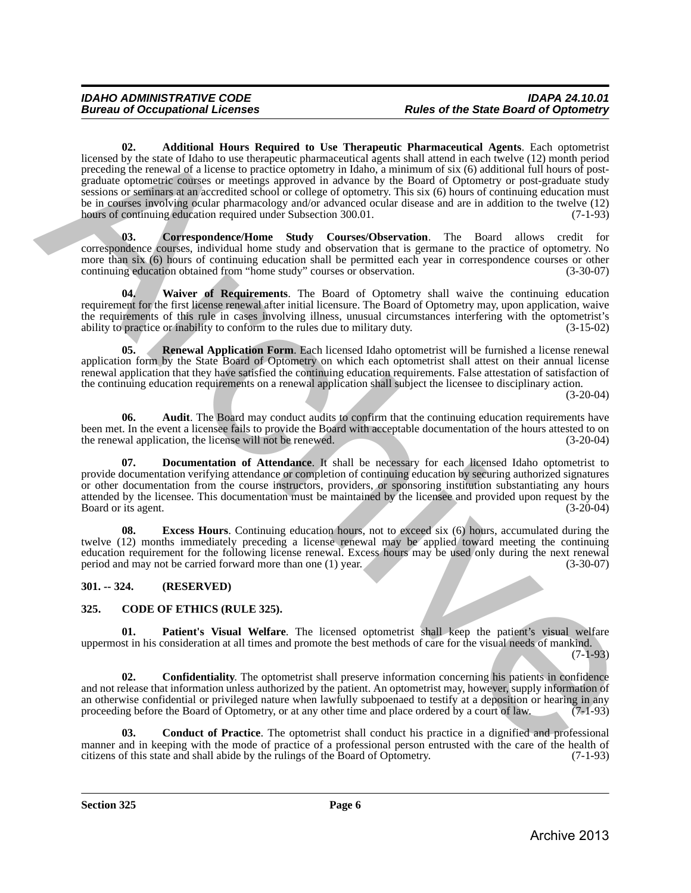<span id="page-5-6"></span>**02. Additional Hours Required to Use Therapeutic Pharmaceutical Agents**. Each optometrist licensed by the state of Idaho to use therapeutic pharmaceutical agents shall attend in each twelve (12) month period preceding the renewal of a license to practice optometry in Idaho, a minimum of six (6) additional full hours of postgraduate optometric courses or meetings approved in advance by the Board of Optometry or post-graduate study sessions or seminars at an accredited school or college of optometry. This six (6) hours of continuing education must be in courses involving ocular pharmacology and/or advanced ocular disease and are in addition to the twelve (12) hours of continuing education required under Subsection 300.01. (7-1-93) keene by the solutional Hours Required to Use Thermonite Planmacentical Agents Ench operatoric procedure and including the consense of a license of a license of a license of a license of a license of a license of a licens

<span id="page-5-8"></span>**03. Correspondence/Home Study Courses/Observation**. The Board allows credit for correspondence courses, individual home study and observation that is germane to the practice of optometry. No more than six (6) hours of continuing education shall be permitted each year in correspondence courses or other<br>continuing education obtained from "home study" courses or observation. (3-30-07) continuing education obtained from "home study" courses or observation.

<span id="page-5-12"></span>**04. Waiver of Requirements**. The Board of Optometry shall waive the continuing education requirement for the first license renewal after initial licensure. The Board of Optometry may, upon application, waive the requirements of this rule in cases involving illness, unusual circumstances interfering with the optometrist's ability to practice or inability to conform to the rules due to military duty.  $(3-15-02)$ ability to practice or inability to conform to the rules due to military duty.

<span id="page-5-11"></span>**05.** Renewal Application Form. Each licensed Idaho optometrist will be furnished a license renewal application form by the State Board of Optometry on which each optometrist shall attest on their annual license renewal application that they have satisfied the continuing education requirements. False attestation of satisfaction of the continuing education requirements on a renewal application shall subject the licensee to disciplinary action.

(3-20-04)

<span id="page-5-7"></span>**06.** Audit. The Board may conduct audits to confirm that the continuing education requirements have been met. In the event a licensee fails to provide the Board with acceptable documentation of the hours attested to on the renewal application, the license will not be renewed. (3-20-04) the renewal application, the license will not be renewed.

<span id="page-5-9"></span>**07. Documentation of Attendance**. It shall be necessary for each licensed Idaho optometrist to provide documentation verifying attendance or completion of continuing education by securing authorized signatures or other documentation from the course instructors, providers, or sponsoring institution substantiating any hours attended by the licensee. This documentation must be maintained by the licensee and provided upon request by the Board or its agent. (3-20-04)

<span id="page-5-10"></span>**08. Excess Hours**. Continuing education hours, not to exceed six (6) hours, accumulated during the twelve (12) months immediately preceding a license renewal may be applied toward meeting the continuing education requirement for the following license renewal. Excess hours may be used only during the next renewal period and may not be carried forward more than one (1) year. (3-30-07)

# <span id="page-5-0"></span>**301. -- 324. (RESERVED)**

# <span id="page-5-2"></span><span id="page-5-1"></span>**325. CODE OF ETHICS (RULE 325).**

<span id="page-5-5"></span>**01. Patient's Visual Welfare**. The licensed optometrist shall keep the patient's visual welfare uppermost in his consideration at all times and promote the best methods of care for the visual needs of mankind.

(7-1-93)

<span id="page-5-4"></span>**02. Confidentiality**. The optometrist shall preserve information concerning his patients in confidence and not release that information unless authorized by the patient. An optometrist may, however, supply information of an otherwise confidential or privileged nature when lawfully subpoenaed to testify at a deposition or hearing in any proceeding before the Board of Optometry, or at any other time and place ordered by a court of law. (7-1-93)

<span id="page-5-3"></span>**03. Conduct of Practice**. The optometrist shall conduct his practice in a dignified and professional manner and in keeping with the mode of practice of a professional person entrusted with the care of the health of citizens of this state and shall abide by the rulings of the Board of Optometry. (7-1-93) citizens of this state and shall abide by the rulings of the Board of Optometry.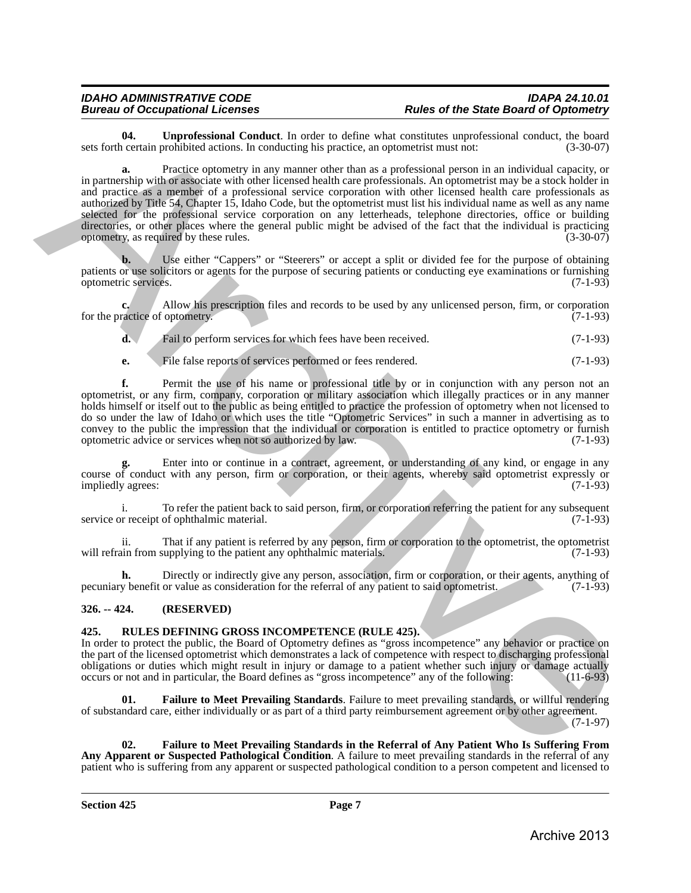<span id="page-6-2"></span>**04. Unprofessional Conduct**. In order to define what constitutes unprofessional conduct, the board certain prohibited actions. In conducting his practice, an optometrist must not:  $(3-30-07)$ sets forth certain prohibited actions. In conducting his practice, an optometrist must not:

**a.** Practice optometry in any manner other than as a professional person in an individual capacity, or in partnership with or associate with other licensed health care professionals. An optometrist may be a stock holder in and practice as a member of a professional service corporation with other licensed health care professionals as authorized by Title 54, Chapter 15, Idaho Code, but the optometrist must list his individual name as well as any name selected for the professional service corporation on any letterheads, telephone directories, office or building directories, or other places where the general public might be advised of the fact that the individual is practicing optometry, as required by these rules. (3-30-07) **EXECUTE CONFIDENTIAL CONFIDENTIAL CONFIDENTIAL CONFIDENTIAL CONFIDENTIAL CONFIDENTIAL CONFIDENTIAL CONFIDENTIAL CONFIDENTIAL CONFIDENTIAL CONFIDENTIAL CONFIDENTIAL CONFIDENTIAL CONFIDENTIAL CONFIDENTIAL CONFIDENTIAL CONF** 

**b.** Use either "Cappers" or "Steerers" or accept a split or divided fee for the purpose of obtaining patients or use solicitors or agents for the purpose of securing patients or conducting eye examinations or furnishing optometric services. (7-1-93) optometric services.

**c.** Allow his prescription files and records to be used by any unlicensed person, firm, or corporation ractice of optometry. (7-1-93) for the practice of optometry.

**d.** Fail to perform services for which fees have been received. (7-1-93)

**e.** File false reports of services performed or fees rendered. (7-1-93)

**f.** Permit the use of his name or professional title by or in conjunction with any person not an optometrist, or any firm, company, corporation or military association which illegally practices or in any manner holds himself or itself out to the public as being entitled to practice the profession of optometry when not licensed to do so under the law of Idaho or which uses the title "Optometric Services" in such a manner in advertising as to convey to the public the impression that the individual or corporation is entitled to practice optometry or furnish optometric advice or services when not so authorized by law. (7-1-93)

**g.** Enter into or continue in a contract, agreement, or understanding of any kind, or engage in any course of conduct with any person, firm or corporation, or their agents, whereby said optometrist expressly or<br>(7-1-93) impliedly agrees:

i. To refer the patient back to said person, firm, or corporation referring the patient for any subsequent receipt of ophthalmic material. (7-1-93) service or receipt of ophthalmic material.

ii. That if any patient is referred by any person, firm or corporation to the optometrist, the optometrist will refrain from supplying to the patient any ophthalmic materials.

**h.** Directly or indirectly give any person, association, firm or corporation, or their agents, anything of v benefit or value as consideration for the referral of any patient to said optometrist. (7-1-93) pecuniary benefit or value as consideration for the referral of any patient to said optometrist.

# <span id="page-6-0"></span>**326. -- 424. (RESERVED)**

# <span id="page-6-3"></span><span id="page-6-1"></span>**425. RULES DEFINING GROSS INCOMPETENCE (RULE 425).**

In order to protect the public, the Board of Optometry defines as "gross incompetence" any behavior or practice on the part of the licensed optometrist which demonstrates a lack of competence with respect to discharging professional obligations or duties which might result in injury or damage to a patient whether such injury or damage actually occurs or not and in particular, the Board defines as "gross incompetence" any of the following: (11-6-93) occurs or not and in particular, the Board defines as "gross incompetence" any of the following:

<span id="page-6-4"></span>**01. Failure to Meet Prevailing Standards**. Failure to meet prevailing standards, or willful rendering of substandard care, either individually or as part of a third party reimbursement agreement or by other agreement. (7-1-97)

<span id="page-6-5"></span>**02. Failure to Meet Prevailing Standards in the Referral of Any Patient Who Is Suffering From Any Apparent or Suspected Pathological Condition**. A failure to meet prevailing standards in the referral of any patient who is suffering from any apparent or suspected pathological condition to a person competent and licensed to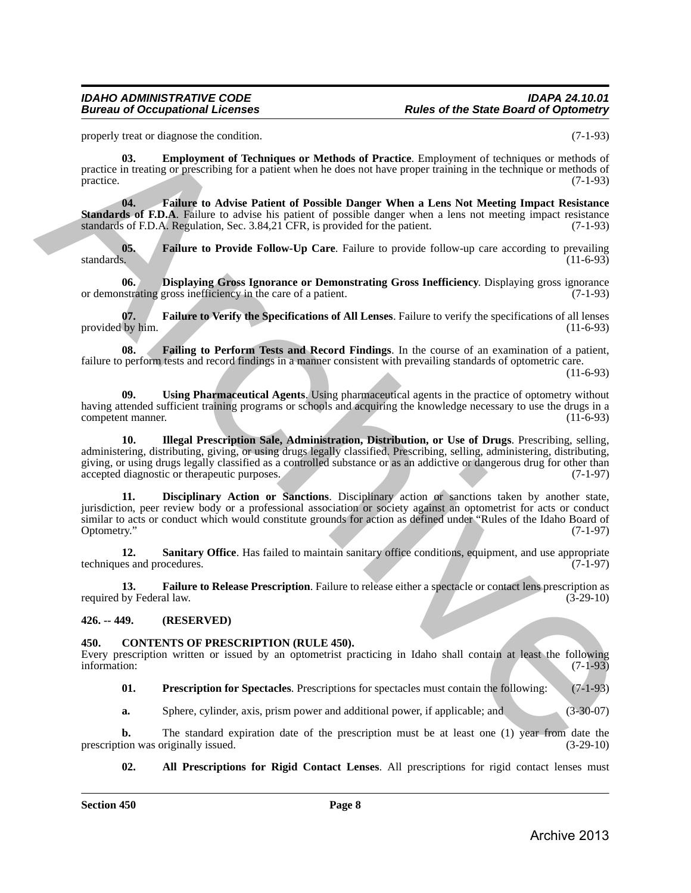properly treat or diagnose the condition. (7-1-93)

<span id="page-7-7"></span>**03. Employment of Techniques or Methods of Practice**. Employment of techniques or methods of practice in treating or prescribing for a patient when he does not have proper training in the technique or methods of practice. (7-1-93) practice. (7-1-93)

<span id="page-7-9"></span>**04. Failure to Advise Patient of Possible Danger When a Lens Not Meeting Impact Resistance Standards of F.D.A**. Failure to advise his patient of possible danger when a lens not meeting impact resistance standards of F.D.A. Regulation, Sec. 3.84,21 CFR, is provided for the patient. (7-1-93)

<span id="page-7-10"></span>**05.** Failure to Provide Follow-Up Care. Failure to provide follow-up care according to prevailing standards. (11-6-93) standards.  $(11-6-93)$ 

<span id="page-7-6"></span>**06. Displaying Gross Ignorance or Demonstrating Gross Inefficiency**. Displaying gross ignorance or demonstrating gross inefficiency in the care of a patient. (7-1-93)

<span id="page-7-12"></span>**07. Failure to Verify the Specifications of All Lenses**. Failure to verify the specifications of all lenses provided by him.

<span id="page-7-8"></span>**08. Failing to Perform Tests and Record Findings**. In the course of an examination of a patient, failure to perform tests and record findings in a manner consistent with prevailing standards of optometric care.

(11-6-93)

<span id="page-7-15"></span><span id="page-7-13"></span>**09. Using Pharmaceutical Agents**. Using pharmaceutical agents in the practice of optometry without having attended sufficient training programs or schools and acquiring the knowledge necessary to use the drugs in a<br>(11-6-93) competent manner.

**10. Illegal Prescription Sale, Administration, Distribution, or Use of Drugs**. Prescribing, selling, administering, distributing, giving, or using drugs legally classified. Prescribing, selling, administering, distributing, giving, or using drugs legally classified as a controlled substance or as an addictive or dangerous drug for other than accepted diagnostic or therapeutic purposes. (7-1-97) accepted diagnostic or therapeutic purposes. property and reduces the conditions of Meladia of Practice Inteplacement considers a theoretical interaction of the state of the state of the state of the state of the state of the state of the state of the state of the s

<span id="page-7-5"></span>**11. Disciplinary Action or Sanctions**. Disciplinary action or sanctions taken by another state, jurisdiction, peer review body or a professional association or society against an optometrist for acts or conduct similar to acts or conduct which would constitute grounds for action as defined under "Rules of the Idaho Board of Optometry." (7-1-97) Optometry." (7-1-97)

<span id="page-7-14"></span>12. **Sanitary Office**. Has failed to maintain sanitary office conditions, equipment, and use appropriate techniques and procedures. (7-1-97)

<span id="page-7-11"></span>**13. Failure to Release Prescription**. Failure to release either a spectacle or contact lens prescription as by Federal law. (3-29-10) required by Federal law.

# <span id="page-7-0"></span>**426. -- 449. (RESERVED)**

### <span id="page-7-1"></span>**450. CONTENTS OF PRESCRIPTION (RULE 450).**

Every prescription written or issued by an optometrist practicing in Idaho shall contain at least the following information: (7-1-93) information: (7-1-93)

<span id="page-7-4"></span><span id="page-7-2"></span>**01. Prescription for Spectacles**. Prescriptions for spectacles must contain the following: (7-1-93)

**a.** Sphere, cylinder, axis, prism power and additional power, if applicable; and (3-30-07)

**b.** The standard expiration date of the prescription must be at least one (1) year from date the ion was originally issued.  $(3-29-10)$ prescription was originally issued.

<span id="page-7-3"></span>**02. All Prescriptions for Rigid Contact Lenses**. All prescriptions for rigid contact lenses must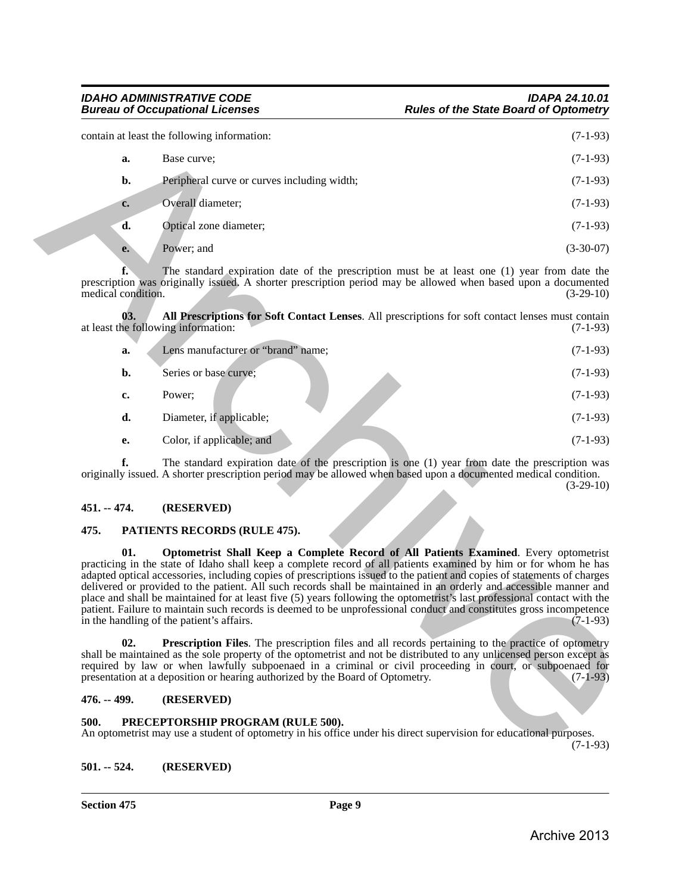|                                                                                                                                                                                                                                                                                                                                                                                                                                                                                                                                                                                                                                                                                                                                                                                 |                                   | contain at least the following information:                                                                                                                                                                                                                                                                                                                                                                                      | $(7-1-93)$  |  |
|---------------------------------------------------------------------------------------------------------------------------------------------------------------------------------------------------------------------------------------------------------------------------------------------------------------------------------------------------------------------------------------------------------------------------------------------------------------------------------------------------------------------------------------------------------------------------------------------------------------------------------------------------------------------------------------------------------------------------------------------------------------------------------|-----------------------------------|----------------------------------------------------------------------------------------------------------------------------------------------------------------------------------------------------------------------------------------------------------------------------------------------------------------------------------------------------------------------------------------------------------------------------------|-------------|--|
|                                                                                                                                                                                                                                                                                                                                                                                                                                                                                                                                                                                                                                                                                                                                                                                 | a.                                | Base curve;                                                                                                                                                                                                                                                                                                                                                                                                                      | $(7-1-93)$  |  |
|                                                                                                                                                                                                                                                                                                                                                                                                                                                                                                                                                                                                                                                                                                                                                                                 | b.                                | Peripheral curve or curves including width;                                                                                                                                                                                                                                                                                                                                                                                      | $(7-1-93)$  |  |
|                                                                                                                                                                                                                                                                                                                                                                                                                                                                                                                                                                                                                                                                                                                                                                                 | c.                                | Overall diameter;                                                                                                                                                                                                                                                                                                                                                                                                                | $(7-1-93)$  |  |
|                                                                                                                                                                                                                                                                                                                                                                                                                                                                                                                                                                                                                                                                                                                                                                                 | d.                                | Optical zone diameter;                                                                                                                                                                                                                                                                                                                                                                                                           | $(7-1-93)$  |  |
|                                                                                                                                                                                                                                                                                                                                                                                                                                                                                                                                                                                                                                                                                                                                                                                 | e.                                | Power; and                                                                                                                                                                                                                                                                                                                                                                                                                       | $(3-30-07)$ |  |
|                                                                                                                                                                                                                                                                                                                                                                                                                                                                                                                                                                                                                                                                                                                                                                                 | $f_{\cdot}$<br>medical condition. | The standard expiration date of the prescription must be at least one (1) year from date the<br>prescription was originally issued. A shorter prescription period may be allowed when based upon a documented                                                                                                                                                                                                                    | $(3-29-10)$ |  |
|                                                                                                                                                                                                                                                                                                                                                                                                                                                                                                                                                                                                                                                                                                                                                                                 | 03.                               | All Prescriptions for Soft Contact Lenses. All prescriptions for soft contact lenses must contain<br>at least the following information:                                                                                                                                                                                                                                                                                         | $(7-1-93)$  |  |
|                                                                                                                                                                                                                                                                                                                                                                                                                                                                                                                                                                                                                                                                                                                                                                                 | a.                                | Lens manufacturer or "brand" name;                                                                                                                                                                                                                                                                                                                                                                                               | $(7-1-93)$  |  |
|                                                                                                                                                                                                                                                                                                                                                                                                                                                                                                                                                                                                                                                                                                                                                                                 | b.                                | Series or base curve;                                                                                                                                                                                                                                                                                                                                                                                                            | $(7-1-93)$  |  |
|                                                                                                                                                                                                                                                                                                                                                                                                                                                                                                                                                                                                                                                                                                                                                                                 | c.                                | Power;                                                                                                                                                                                                                                                                                                                                                                                                                           | $(7-1-93)$  |  |
|                                                                                                                                                                                                                                                                                                                                                                                                                                                                                                                                                                                                                                                                                                                                                                                 | d.                                | Diameter, if applicable;                                                                                                                                                                                                                                                                                                                                                                                                         | $(7-1-93)$  |  |
|                                                                                                                                                                                                                                                                                                                                                                                                                                                                                                                                                                                                                                                                                                                                                                                 | е.                                | Color, if applicable; and                                                                                                                                                                                                                                                                                                                                                                                                        | $(7-1-93)$  |  |
|                                                                                                                                                                                                                                                                                                                                                                                                                                                                                                                                                                                                                                                                                                                                                                                 | f.                                | The standard expiration date of the prescription is one (1) year from date the prescription was<br>originally issued. A shorter prescription period may be allowed when based upon a documented medical condition.                                                                                                                                                                                                               | $(3-29-10)$ |  |
|                                                                                                                                                                                                                                                                                                                                                                                                                                                                                                                                                                                                                                                                                                                                                                                 | $451. - 474.$                     | (RESERVED)                                                                                                                                                                                                                                                                                                                                                                                                                       |             |  |
|                                                                                                                                                                                                                                                                                                                                                                                                                                                                                                                                                                                                                                                                                                                                                                                 | 475.                              | PATIENTS RECORDS (RULE 475).                                                                                                                                                                                                                                                                                                                                                                                                     |             |  |
| 01.<br>Optometrist Shall Keep a Complete Record of All Patients Examined. Every optometrist<br>practicing in the state of Idaho shall keep a complete record of all patients examined by him or for whom he has<br>adapted optical accessories, including copies of prescriptions issued to the patient and copies of statements of charges<br>delivered or provided to the patient. All such records shall be maintained in an orderly and accessible manner and<br>place and shall be maintained for at least five (5) years following the optometrist's last professional contact with the<br>patient. Failure to maintain such records is deemed to be unprofessional conduct and constitutes gross incompetence<br>$(7-1-93)$<br>in the handling of the patient's affairs. |                                   |                                                                                                                                                                                                                                                                                                                                                                                                                                  |             |  |
|                                                                                                                                                                                                                                                                                                                                                                                                                                                                                                                                                                                                                                                                                                                                                                                 | 02.                               | <b>Prescription Files.</b> The prescription files and all records pertaining to the practice of optometry<br>shall be maintained as the sole property of the optometrist and not be distributed to any unlicensed person except as<br>required by law or when lawfully subpoenaed in a criminal or civil proceeding in court, or subpoenaed for<br>presentation at a deposition or hearing authorized by the Board of Optometry. | $(7-1-93)$  |  |
|                                                                                                                                                                                                                                                                                                                                                                                                                                                                                                                                                                                                                                                                                                                                                                                 | 476. -- 499.                      | (RESERVED)                                                                                                                                                                                                                                                                                                                                                                                                                       |             |  |
|                                                                                                                                                                                                                                                                                                                                                                                                                                                                                                                                                                                                                                                                                                                                                                                 | 500.                              | PRECEPTORSHIP PROGRAM (RULE 500).<br>An optometrist may use a student of optometry in his office under his direct supervision for educational purposes.                                                                                                                                                                                                                                                                          | $(7-1-93)$  |  |

<span id="page-8-9"></span>

| Lens manufacturer or "brand" name; | $(7-1-93)$ |
|------------------------------------|------------|
| Series or base curve;              | $(7-1-93)$ |
| Power:                             | $(7-1-93)$ |
| Diameter, if applicable;           | $(7-1-93)$ |
| Color, if applicable; and          | $(7-1-93)$ |
|                                    |            |

# <span id="page-8-0"></span>**451. -- 474. (RESERVED)**

# <span id="page-8-6"></span><span id="page-8-5"></span><span id="page-8-1"></span>**475. PATIENTS RECORDS (RULE 475).**

# <span id="page-8-7"></span><span id="page-8-2"></span>**476. -- 499. (RESERVED)**

### <span id="page-8-8"></span><span id="page-8-3"></span>**500. PRECEPTORSHIP PROGRAM (RULE 500).**

<span id="page-8-4"></span>**501. -- 524. (RESERVED)**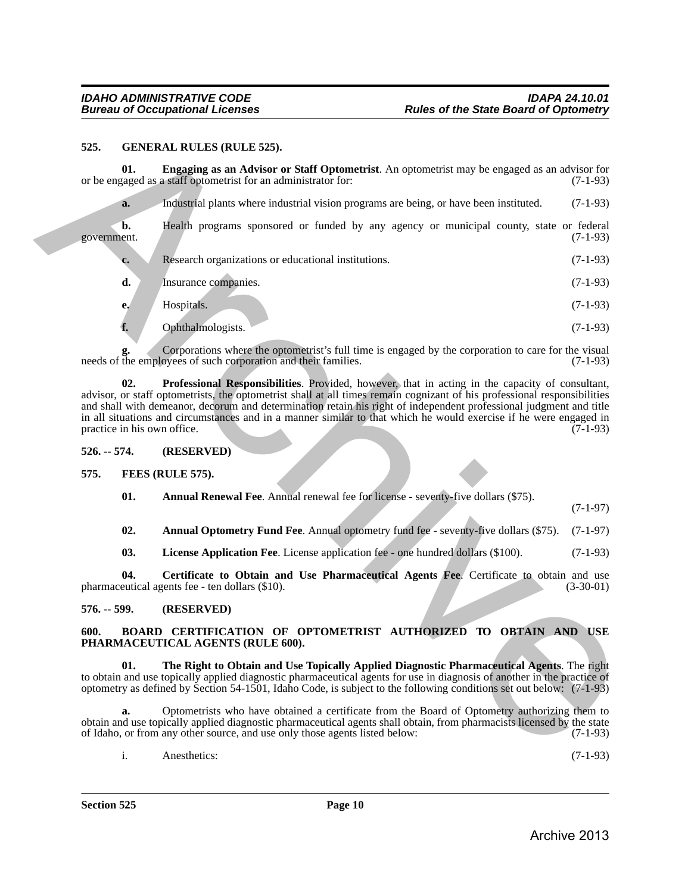### <span id="page-9-14"></span><span id="page-9-13"></span><span id="page-9-12"></span><span id="page-9-1"></span><span id="page-9-0"></span>**525. GENERAL RULES (RULE 525).**

| 525.          |     | <b>GENERAL RULES (RULE 525).</b>                                                                                                                                                                                                                                                                                                                                                                                                                                                                      |             |
|---------------|-----|-------------------------------------------------------------------------------------------------------------------------------------------------------------------------------------------------------------------------------------------------------------------------------------------------------------------------------------------------------------------------------------------------------------------------------------------------------------------------------------------------------|-------------|
|               | 01. | Engaging as an Advisor or Staff Optometrist. An optometrist may be engaged as an advisor for<br>or be engaged as a staff optometrist for an administrator for:                                                                                                                                                                                                                                                                                                                                        | $(7-1-93)$  |
|               | a.  | Industrial plants where industrial vision programs are being, or have been instituted.                                                                                                                                                                                                                                                                                                                                                                                                                | $(7-1-93)$  |
| government.   | b.  | Health programs sponsored or funded by any agency or municipal county, state or federal                                                                                                                                                                                                                                                                                                                                                                                                               | $(7-1-93)$  |
|               | c.  | Research organizations or educational institutions.                                                                                                                                                                                                                                                                                                                                                                                                                                                   | $(7-1-93)$  |
|               | d.  | Insurance companies.                                                                                                                                                                                                                                                                                                                                                                                                                                                                                  | $(7-1-93)$  |
|               | e.  | Hospitals.                                                                                                                                                                                                                                                                                                                                                                                                                                                                                            | $(7-1-93)$  |
|               | f.  | Ophthalmologists.                                                                                                                                                                                                                                                                                                                                                                                                                                                                                     | $(7-1-93)$  |
|               |     | Corporations where the optometrist's full time is engaged by the corporation to care for the visual<br>needs of the employees of such corporation and their families.                                                                                                                                                                                                                                                                                                                                 | $(7-1-93)$  |
|               | 02. | Professional Responsibilities. Provided, however, that in acting in the capacity of consultant,<br>advisor, or staff optometrists, the optometrist shall at all times remain cognizant of his professional responsibilities<br>and shall with demeanor, decorum and determination retain his right of independent professional judgment and title<br>in all situations and circumstances and in a manner similar to that which he would exercise if he were engaged in<br>practice in his own office. | $(7-1-93)$  |
| $526. - 574.$ |     | (RESERVED)                                                                                                                                                                                                                                                                                                                                                                                                                                                                                            |             |
| 575.          |     | FEES (RULE 575).                                                                                                                                                                                                                                                                                                                                                                                                                                                                                      |             |
|               | 01. | Annual Renewal Fee. Annual renewal fee for license - seventy-five dollars (\$75).                                                                                                                                                                                                                                                                                                                                                                                                                     | $(7-1-97)$  |
|               | 02. | Annual Optometry Fund Fee. Annual optometry fund fee - seventy-five dollars (\$75).                                                                                                                                                                                                                                                                                                                                                                                                                   | $(7-1-97)$  |
|               | 03. | License Application Fee. License application fee - one hundred dollars (\$100).                                                                                                                                                                                                                                                                                                                                                                                                                       | $(7-1-93)$  |
|               | 04. | Certificate to Obtain and Use Pharmaceutical Agents Fee. Certificate to obtain and use<br>pharmaceutical agents fee - ten dollars (\$10).                                                                                                                                                                                                                                                                                                                                                             | $(3-30-01)$ |
| $576. - 599.$ |     | (RESERVED)                                                                                                                                                                                                                                                                                                                                                                                                                                                                                            |             |
| 600.          |     | BOARD CERTIFICATION OF OPTOMETRIST AUTHORIZED TO OBTAIN AND USE<br>PHARMACEUTICAL AGENTS (RULE 600).                                                                                                                                                                                                                                                                                                                                                                                                  |             |
|               | 01. | The Right to Obtain and Use Topically Applied Diagnostic Pharmaceutical Agents. The right<br>to obtain and use topically applied diagnostic pharmaceutical agents for use in diagnosis of another in the practice of<br>optometry as defined by Section 54-1501, Idaho Code, is subject to the following conditions set out below: (7-1-93)                                                                                                                                                           |             |
|               | a.  | Optometrists who have obtained a certificate from the Board of Optometry authorizing them to<br>obtain and use topically applied diagnostic pharmaceutical agents shall obtain, from pharmacists licensed by the state<br>of Idaho, or from any other source, and use only those agents listed below:                                                                                                                                                                                                 | $(7-1-93)$  |
|               |     |                                                                                                                                                                                                                                                                                                                                                                                                                                                                                                       |             |

<span id="page-9-11"></span><span id="page-9-10"></span><span id="page-9-9"></span><span id="page-9-8"></span><span id="page-9-7"></span><span id="page-9-6"></span><span id="page-9-5"></span><span id="page-9-4"></span><span id="page-9-3"></span><span id="page-9-2"></span>i. Anesthetics: (7-1-93)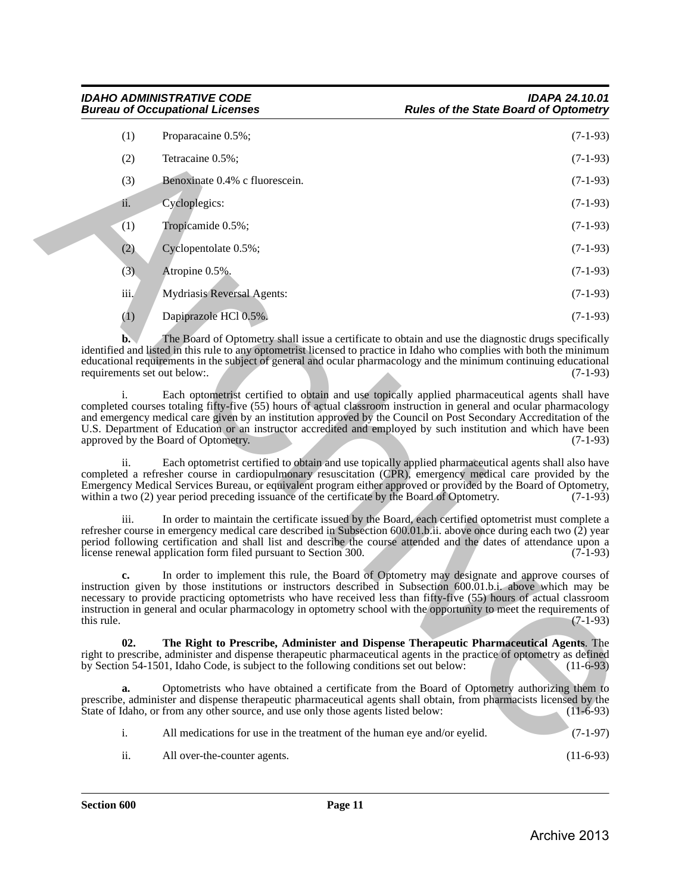| (1)                                | Proparacaine 0.5%;                                                                                                                                                                                                                                                                                                                                                                                                                                                                                  | $(7-1-93)$  |
|------------------------------------|-----------------------------------------------------------------------------------------------------------------------------------------------------------------------------------------------------------------------------------------------------------------------------------------------------------------------------------------------------------------------------------------------------------------------------------------------------------------------------------------------------|-------------|
| (2)                                | Tetracaine 0.5%;                                                                                                                                                                                                                                                                                                                                                                                                                                                                                    | $(7-1-93)$  |
| (3)                                | Benoxinate 0.4% c fluorescein.                                                                                                                                                                                                                                                                                                                                                                                                                                                                      | $(7-1-93)$  |
| ii.                                | Cycloplegics:                                                                                                                                                                                                                                                                                                                                                                                                                                                                                       | $(7-1-93)$  |
| (1)                                | Tropicamide 0.5%;                                                                                                                                                                                                                                                                                                                                                                                                                                                                                   | $(7-1-93)$  |
| (2)                                | Cyclopentolate 0.5%;                                                                                                                                                                                                                                                                                                                                                                                                                                                                                | $(7-1-93)$  |
| (3)                                | Atropine 0.5%.                                                                                                                                                                                                                                                                                                                                                                                                                                                                                      | $(7-1-93)$  |
| iii.                               | <b>Mydriasis Reversal Agents:</b>                                                                                                                                                                                                                                                                                                                                                                                                                                                                   | $(7-1-93)$  |
| (1)                                | Dapiprazole HCl 0.5%.                                                                                                                                                                                                                                                                                                                                                                                                                                                                               | $(7-1-93)$  |
| b.<br>requirements set out below:. | The Board of Optometry shall issue a certificate to obtain and use the diagnostic drugs specifically<br>identified and listed in this rule to any optometrist licensed to practice in Idaho who complies with both the minimum<br>educational requirements in the subject of general and ocular pharmacology and the minimum continuing educational                                                                                                                                                 | $(7-1-93)$  |
| i.                                 | Each optometrist certified to obtain and use topically applied pharmaceutical agents shall have<br>completed courses totaling fifty-five (55) hours of actual classroom instruction in general and ocular pharmacology<br>and emergency medical care given by an institution approved by the Council on Post Secondary Accreditation of the<br>U.S. Department of Education or an instructor accredited and employed by such institution and which have been<br>approved by the Board of Optometry. | $(7-1-93)$  |
| ii.                                | Each optometrist certified to obtain and use topically applied pharmaceutical agents shall also have<br>completed a refresher course in cardiopulmonary resuscitation (CPR), emergency medical care provided by the<br>Emergency Medical Services Bureau, or equivalent program either approved or provided by the Board of Optometry,<br>within a two (2) year period preceding issuance of the certificate by the Board of Optometry.                                                             | $(7-1-93)$  |
| iii.                               | In order to maintain the certificate issued by the Board, each certified optometrist must complete a<br>refresher course in emergency medical care described in Subsection 600.01.b.ii. above once during each two (2) year<br>period following certification and shall list and describe the course attended and the dates of attendance upon a<br>license renewal application form filed pursuant to Section 300.                                                                                 | $(7-1-93)$  |
| c.<br>this rule.                   | In order to implement this rule, the Board of Optometry may designate and approve courses of<br>instruction given by those institutions or instructors described in Subsection 600.01.b.i. above which may be<br>necessary to provide practicing optometrists who have received less than fifty-five (55) hours of actual classroom<br>instruction in general and ocular pharmacology in optometry school with the opportunity to meet the requirements of                                          | $(7-1-93)$  |
| 02.                                | The Right to Prescribe, Administer and Dispense Therapeutic Pharmaceutical Agents. The<br>right to prescribe, administer and dispense therapeutic pharmaceutical agents in the practice of optometry as defined<br>by Section 54-1501, Idaho Code, is subject to the following conditions set out below:                                                                                                                                                                                            | $(11-6-93)$ |
| a.                                 | Optometrists who have obtained a certificate from the Board of Optometry authorizing them to<br>prescribe, administer and dispense therapeutic pharmaceutical agents shall obtain, from pharmacists licensed by the<br>State of Idaho, or from any other source, and use only those agents listed below:                                                                                                                                                                                            | $(11-6-93)$ |
| i.                                 | All medications for use in the treatment of the human eye and/or eyelid.                                                                                                                                                                                                                                                                                                                                                                                                                            | $(7-1-97)$  |
|                                    |                                                                                                                                                                                                                                                                                                                                                                                                                                                                                                     |             |

<span id="page-10-0"></span>

|  | All medications for use in the treatment of the human eye and/or eyelid. |  | $(7-1-97)$ |
|--|--------------------------------------------------------------------------|--|------------|
|--|--------------------------------------------------------------------------|--|------------|

ii. All over-the-counter agents. (11-6-93)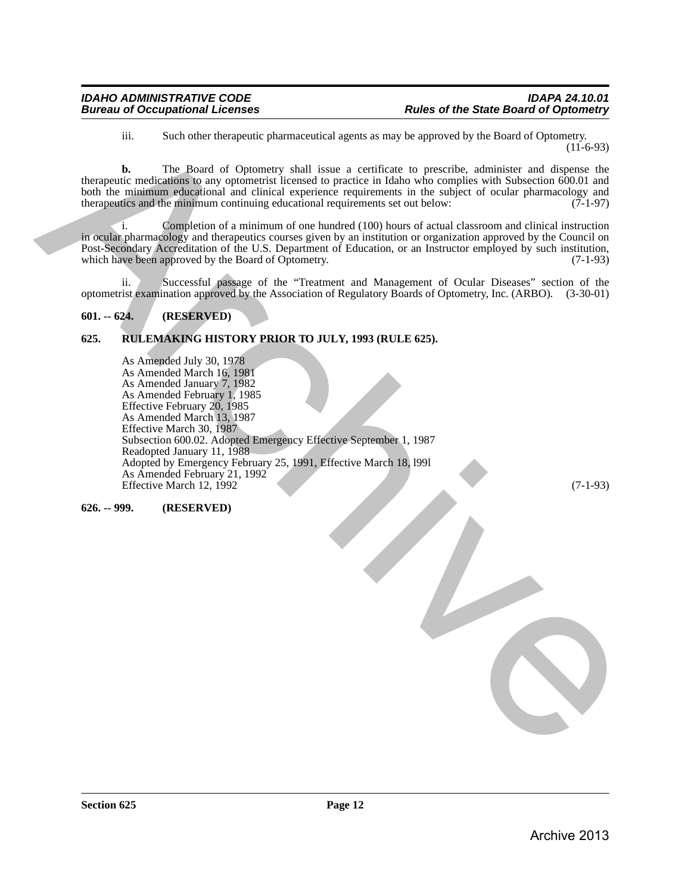iii. Such other therapeutic pharmaceutical agents as may be approved by the Board of Optometry.  $(11-6-93)$ 

**b.** The Board of Optometry shall issue a certificate to prescribe, administer and dispense the therapeutic medications to any optometrist licensed to practice in Idaho who complies with Subsection 600.01 and both the minimum educational and clinical experience requirements in the subject of ocular pharmacology and therapeutics and the minimum continuing educational requirements set out below: (7-1-97) therapeutics and the minimum continuing educational requirements set out below:

i. Completion of a minimum of one hundred (100) hours of actual classroom and clinical instruction in ocular pharmacology and therapeutics courses given by an institution or organization approved by the Council on Post-Secondary Accreditation of the U.S. Department of Education, or an Instructor employed by such institution, which have been approved by the Board of Optometry. (7-1-93)

ii. Successful passage of the "Treatment and Management of Ocular Diseases" section of the optometrist examination approved by the Association of Regulatory Boards of Optometry, Inc. (ARBO). (3-30-01)

# <span id="page-11-0"></span>**601. -- 624. (RESERVED)**

# <span id="page-11-1"></span>**625. RULEMAKING HISTORY PRIOR TO JULY, 1993 (RULE 625).**

As Amended July 30, 1978 As Amended March 16, 1981 As Amended January 7, 1982 As Amended February 1, 1985 Effective February 20, 1985 As Amended March 13, 1987 Effective March 30, 1987 Subsection 600.02. Adopted Emergency Effective September 1, 1987 Readopted January 11, 1988 Adopted by Emergency February 25, 1991, Effective March 18, l99l As Amended February 21, 1992 Effective March 12, 1992 (7-1-93) ii. Such other theoretical phonons and algorith is now be approved by the fluoritor (1) (40-93)<br>the<br>papel is modellicated to consecute the particular contribution of the<br>papel is consecuted to the papel of the consecutiv

# <span id="page-11-2"></span>**626. -- 999. (RESERVED)**